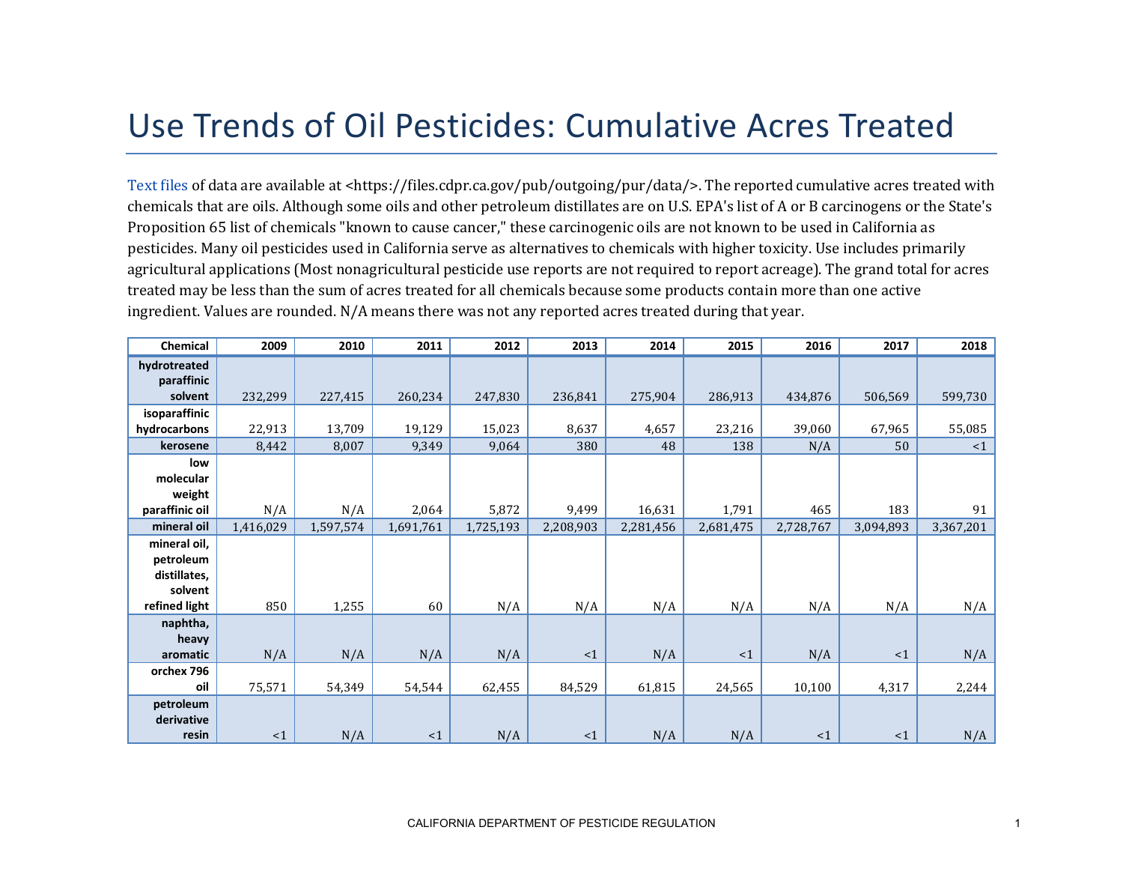## Use Trends of Oil Pesticides: Cumulative Acres Treated

[Text files](https://files.cdpr.ca.gov/pub/outgoing/pur/data/) of data are available at <https://files.cdpr.ca.gov/pub/outgoing/pur/data/>. The reported cumulative acres treated with chemicals that are oils. Although some oils and other petroleum distillates are on U.S. EPA's list of A or B carcinogens or the State's Proposition 65 list of chemicals "known to cause cancer," these carcinogenic oils are not known to be used in California as pesticides. Many oil pesticides used in California serve as alternatives to chemicals with higher toxicity. Use includes primarily agricultural applications (Most nonagricultural pesticide use reports are not required to report acreage). The grand total for acres treated may be less than the sum of acres treated for all chemicals because some products contain more than one active ingredient. Values are rounded. N/A means there was not any reported acres treated during that year.

| Chemical       | 2009      | 2010      | 2011      | 2012      | 2013      | 2014      | 2015      | 2016      | 2017      | 2018      |
|----------------|-----------|-----------|-----------|-----------|-----------|-----------|-----------|-----------|-----------|-----------|
| hydrotreated   |           |           |           |           |           |           |           |           |           |           |
| paraffinic     |           |           |           |           |           |           |           |           |           |           |
| solvent        | 232,299   | 227,415   | 260,234   | 247,830   | 236,841   | 275,904   | 286,913   | 434,876   | 506,569   | 599,730   |
| isoparaffinic  |           |           |           |           |           |           |           |           |           |           |
| hydrocarbons   | 22,913    | 13,709    | 19,129    | 15,023    | 8,637     | 4,657     | 23,216    | 39,060    | 67,965    | 55,085    |
| kerosene       | 8,442     | 8,007     | 9,349     | 9,064     | 380       | 48        | 138       | N/A       | 50        | <1        |
| low            |           |           |           |           |           |           |           |           |           |           |
| molecular      |           |           |           |           |           |           |           |           |           |           |
| weight         |           |           |           |           |           |           |           |           |           |           |
| paraffinic oil | N/A       | N/A       | 2,064     | 5,872     | 9,499     | 16,631    | 1,791     | 465       | 183       | 91        |
| mineral oil    | 1,416,029 | 1,597,574 | 1,691,761 | 1,725,193 | 2,208,903 | 2,281,456 | 2,681,475 | 2,728,767 | 3,094,893 | 3,367,201 |
| mineral oil,   |           |           |           |           |           |           |           |           |           |           |
| petroleum      |           |           |           |           |           |           |           |           |           |           |
| distillates,   |           |           |           |           |           |           |           |           |           |           |
| solvent        |           |           |           |           |           |           |           |           |           |           |
| refined light  | 850       | 1,255     | 60        | N/A       | N/A       | N/A       | N/A       | N/A       | N/A       | N/A       |
| naphtha,       |           |           |           |           |           |           |           |           |           |           |
| heavy          |           |           |           |           |           |           |           |           |           |           |
| aromatic       | N/A       | N/A       | N/A       | N/A       | <1        | N/A       | <1        | N/A       | $\leq 1$  | N/A       |
| orchex 796     |           |           |           |           |           |           |           |           |           |           |
| oil            | 75,571    | 54,349    | 54,544    | 62,455    | 84,529    | 61,815    | 24,565    | 10,100    | 4,317     | 2,244     |
| petroleum      |           |           |           |           |           |           |           |           |           |           |
| derivative     |           |           |           |           |           |           |           |           |           |           |
| resin          | <1        | N/A       | <1        | N/A       | $\leq 1$  | N/A       | N/A       | <1        | <1        | N/A       |